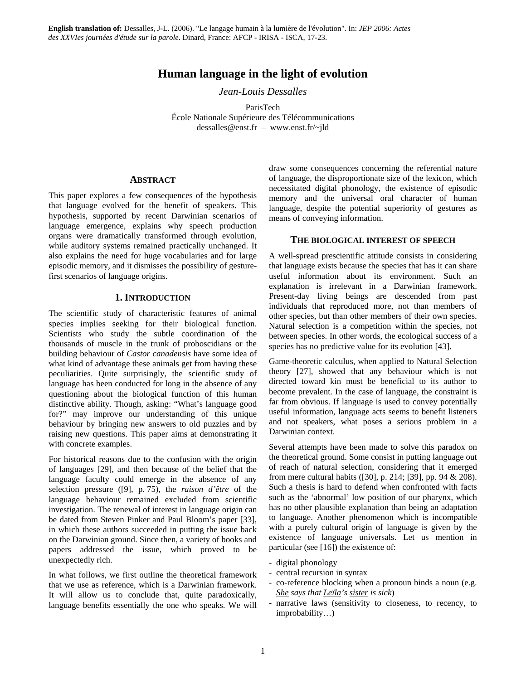# **Human language in the light of evolution**

*Jean-Louis Dessalles* 

ParisTech École Nationale Supérieure des Télécommunications dessalles@enst.fr – www.enst.fr/~jld

### **ABSTRACT**

This paper explores a few consequences of the hypothesis that language evolved for the benefit of speakers. This hypothesis, supported by recent Darwinian scenarios of language emergence, explains why speech production organs were dramatically transformed through evolution, while auditory systems remained practically unchanged. It also explains the need for huge vocabularies and for large episodic memory, and it dismisses the possibility of gesturefirst scenarios of language origins.

# **1. INTRODUCTION**

The scientific study of characteristic features of animal species implies seeking for their biological function. Scientists who study the subtle coordination of the thousands of muscle in the trunk of proboscidians or the building behaviour of *Castor canadensis* have some idea of what kind of advantage these animals get from having these peculiarities. Quite surprisingly, the scientific study of language has been conducted for long in the absence of any questioning about the biological function of this human distinctive ability. Though, asking: "What's language good for?" may improve our understanding of this unique behaviour by bringing new answers to old puzzles and by raising new questions. This paper aims at demonstrating it with concrete examples.

For historical reasons due to the confusion with the origin of languages [29], and then because of the belief that the language faculty could emerge in the absence of any selection pressure ([9], p. 75), the *raison d'être* of the language behaviour remained excluded from scientific investigation. The renewal of interest in language origin can be dated from Steven Pinker and Paul Bloom's paper [33], in which these authors succeeded in putting the issue back on the Darwinian ground. Since then, a variety of books and papers addressed the issue, which proved to be unexpectedly rich.

In what follows, we first outline the theoretical framework that we use as reference, which is a Darwinian framework. It will allow us to conclude that, quite paradoxically, language benefits essentially the one who speaks. We will draw some consequences concerning the referential nature of language, the disproportionate size of the lexicon, which necessitated digital phonology, the existence of episodic memory and the universal oral character of human language, despite the potential superiority of gestures as means of conveying information.

# **THE BIOLOGICAL INTEREST OF SPEECH**

A well-spread prescientific attitude consists in considering that language exists because the species that has it can share useful information about its environment. Such an explanation is irrelevant in a Darwinian framework. Present-day living beings are descended from past individuals that reproduced more, not than members of other species, but than other members of their own species. Natural selection is a competition within the species, not between species. In other words, the ecological success of a species has no predictive value for its evolution [43].

Game-theoretic calculus, when applied to Natural Selection theory [27], showed that any behaviour which is not directed toward kin must be beneficial to its author to become prevalent. In the case of language, the constraint is far from obvious. If language is used to convey potentially useful information, language acts seems to benefit listeners and not speakers, what poses a serious problem in a Darwinian context.

Several attempts have been made to solve this paradox on the theoretical ground. Some consist in putting language out of reach of natural selection, considering that it emerged from mere cultural habits ([30], p. 214; [39], pp. 94 & 208). Such a thesis is hard to defend when confronted with facts such as the 'abnormal' low position of our pharynx, which has no other plausible explanation than being an adaptation to language. Another phenomenon which is incompatible with a purely cultural origin of language is given by the existence of language universals. Let us mention in particular (see [16]) the existence of:

- digital phonology
- central recursion in syntax
- co-reference blocking when a pronoun binds a noun (e.g. *She says that Leïla's sister is sick*)
- narrative laws (sensitivity to closeness, to recency, to improbability…)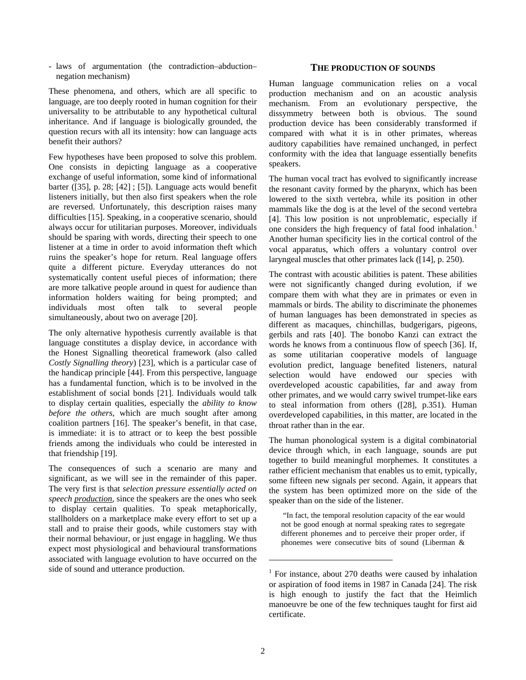- laws of argumentation (the contradiction–abduction– negation mechanism)

These phenomena, and others, which are all specific to language, are too deeply rooted in human cognition for their universality to be attributable to any hypothetical cultural inheritance. And if language is biologically grounded, the question recurs with all its intensity: how can language acts benefit their authors?

Few hypotheses have been proposed to solve this problem. One consists in depicting language as a cooperative exchange of useful information, some kind of informational barter ([35], p. 28; [42] ; [5]). Language acts would benefit listeners initially, but then also first speakers when the role are reversed. Unfortunately, this description raises many difficulties [15]. Speaking, in a cooperative scenario, should always occur for utilitarian purposes. Moreover, individuals should be sparing with words, directing their speech to one listener at a time in order to avoid information theft which ruins the speaker's hope for return. Real language offers quite a different picture. Everyday utterances do not systematically content useful pieces of information; there are more talkative people around in quest for audience than information holders waiting for being prompted; and individuals most often talk to several people simultaneously, about two on average [20].

The only alternative hypothesis currently available is that language constitutes a display device, in accordance with the Honest Signalling theoretical framework (also called *Costly Signalling theory*) [23], which is a particular case of the handicap principle [44]. From this perspective, language has a fundamental function, which is to be involved in the establishment of social bonds [21]. Individuals would talk to display certain qualities, especially the *ability to know before the others*, which are much sought after among coalition partners [16]. The speaker's benefit, in that case, is immediate: it is to attract or to keep the best possible friends among the individuals who could be interested in that friendship [19].

The consequences of such a scenario are many and significant, as we will see in the remainder of this paper. The very first is that *selection pressure essentially acted on speech production*, since the speakers are the ones who seek to display certain qualities. To speak metaphorically, stallholders on a marketplace make every effort to set up a stall and to praise their goods, while customers stay with their normal behaviour, or just engage in haggling. We thus expect most physiological and behavioural transformations associated with language evolution to have occurred on the side of sound and utterance production.

#### **THE PRODUCTION OF SOUNDS**

Human language communication relies on a vocal production mechanism and on an acoustic analysis mechanism. From an evolutionary perspective, the dissymmetry between both is obvious. The sound production device has been considerably transformed if compared with what it is in other primates, whereas auditory capabilities have remained unchanged, in perfect conformity with the idea that language essentially benefits speakers.

The human vocal tract has evolved to significantly increase the resonant cavity formed by the pharynx, which has been lowered to the sixth vertebra, while its position in other mammals like the dog is at the level of the second vertebra [4]. This low position is not unproblematic, especially if one considers the high frequency of fatal food inhalation.<sup>1</sup> Another human specificity lies in the cortical control of the vocal apparatus, which offers a voluntary control over laryngeal muscles that other primates lack ([14], p. 250).

The contrast with acoustic abilities is patent. These abilities were not significantly changed during evolution, if we compare them with what they are in primates or even in mammals or birds. The ability to discriminate the phonemes of human languages has been demonstrated in species as different as macaques, chinchillas, budgerigars, pigeons, gerbils and rats [40]. The bonobo Kanzi can extract the words he knows from a continuous flow of speech [36]. If, as some utilitarian cooperative models of language evolution predict, language benefited listeners, natural selection would have endowed our species with overdeveloped acoustic capabilities, far and away from other primates, and we would carry swivel trumpet-like ears to steal information from others ([28], p.351). Human overdeveloped capabilities, in this matter, are located in the throat rather than in the ear.

The human phonological system is a digital combinatorial device through which, in each language, sounds are put together to build meaningful morphemes. It constitutes a rather efficient mechanism that enables us to emit, typically, some fifteen new signals per second. Again, it appears that the system has been optimized more on the side of the speaker than on the side of the listener.

 "In fact, the temporal resolution capacity of the ear would not be good enough at normal speaking rates to segregate different phonemes and to perceive their proper order, if phonemes were consecutive bits of sound (Liberman &

 $\overline{a}$ 

<sup>&</sup>lt;sup>1</sup> For instance, about 270 deaths were caused by inhalation or aspiration of food items in 1987 in Canada [24]. The risk is high enough to justify the fact that the Heimlich manoeuvre be one of the few techniques taught for first aid certificate.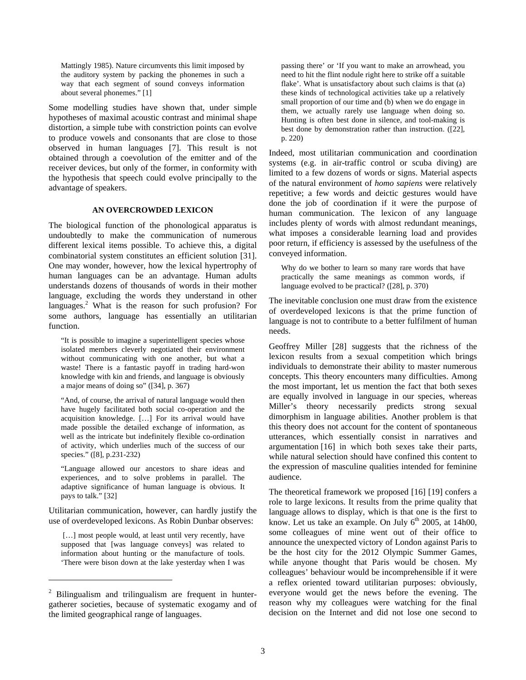Mattingly 1985). Nature circumvents this limit imposed by the auditory system by packing the phonemes in such a way that each segment of sound conveys information about several phonemes." [1]

Some modelling studies have shown that, under simple hypotheses of maximal acoustic contrast and minimal shape distortion, a simple tube with constriction points can evolve to produce vowels and consonants that are close to those observed in human languages [7]. This result is not obtained through a coevolution of the emitter and of the receiver devices, but only of the former, in conformity with the hypothesis that speech could evolve principally to the advantage of speakers.

#### **AN OVERCROWDED LEXICON**

The biological function of the phonological apparatus is undoubtedly to make the communication of numerous different lexical items possible. To achieve this, a digital combinatorial system constitutes an efficient solution [31]. One may wonder, however, how the lexical hypertrophy of human languages can be an advantage. Human adults understands dozens of thousands of words in their mother language, excluding the words they understand in other languages.<sup>2</sup> What is the reason for such profusion? For some authors, language has essentially an utilitarian function.

"It is possible to imagine a superintelligent species whose isolated members cleverly negotiated their environment without communicating with one another, but what a waste! There is a fantastic payoff in trading hard-won knowledge with kin and friends, and language is obviously a major means of doing so" ([34], p. 367)

"And, of course, the arrival of natural language would then have hugely facilitated both social co-operation and the acquisition knowledge. […] For its arrival would have made possible the detailed exchange of information, as well as the intricate but indefinitely flexible co-ordination of activity, which underlies much of the success of our species." ([8], p.231-232)

"Language allowed our ancestors to share ideas and experiences, and to solve problems in parallel. The adaptive significance of human language is obvious. It pays to talk." [32]

Utilitarian communication, however, can hardly justify the use of overdeveloped lexicons. As Robin Dunbar observes:

[...] most people would, at least until very recently, have supposed that [was language conveys] was related to information about hunting or the manufacture of tools. 'There were bison down at the lake yesterday when I was

 $\overline{a}$ 

passing there' or 'If you want to make an arrowhead, you need to hit the flint nodule right here to strike off a suitable flake'. What is unsatisfactory about such claims is that (a) these kinds of technological activities take up a relatively small proportion of our time and (b) when we do engage in them, we actually rarely use language when doing so. Hunting is often best done in silence, and tool-making is best done by demonstration rather than instruction. ([22], p. 220)

Indeed, most utilitarian communication and coordination systems (e.g. in air-traffic control or scuba diving) are limited to a few dozens of words or signs. Material aspects of the natural environment of *homo sapiens* were relatively repetitive; a few words and deictic gestures would have done the job of coordination if it were the purpose of human communication. The lexicon of any language includes plenty of words with almost redundant meanings, what imposes a considerable learning load and provides poor return, if efficiency is assessed by the usefulness of the conveyed information.

Why do we bother to learn so many rare words that have practically the same meanings as common words, if language evolved to be practical? ([28], p. 370)

The inevitable conclusion one must draw from the existence of overdeveloped lexicons is that the prime function of language is not to contribute to a better fulfilment of human needs.

Geoffrey Miller [28] suggests that the richness of the lexicon results from a sexual competition which brings individuals to demonstrate their ability to master numerous concepts. This theory encounters many difficulties. Among the most important, let us mention the fact that both sexes are equally involved in language in our species, whereas Miller's theory necessarily predicts strong sexual dimorphism in language abilities. Another problem is that this theory does not account for the content of spontaneous utterances, which essentially consist in narratives and argumentation [16] in which both sexes take their parts, while natural selection should have confined this content to the expression of masculine qualities intended for feminine audience.

The theoretical framework we proposed [16] [19] confers a role to large lexicons. It results from the prime quality that language allows to display, which is that one is the first to know. Let us take an example. On July  $6<sup>th</sup>$  2005, at 14h00, some colleagues of mine went out of their office to announce the unexpected victory of London against Paris to be the host city for the 2012 Olympic Summer Games, while anyone thought that Paris would be chosen. My colleagues' behaviour would be incomprehensible if it were a reflex oriented toward utilitarian purposes: obviously, everyone would get the news before the evening. The reason why my colleagues were watching for the final decision on the Internet and did not lose one second to

 $2$  Bilingualism and trilingualism are frequent in huntergatherer societies, because of systematic exogamy and of the limited geographical range of languages.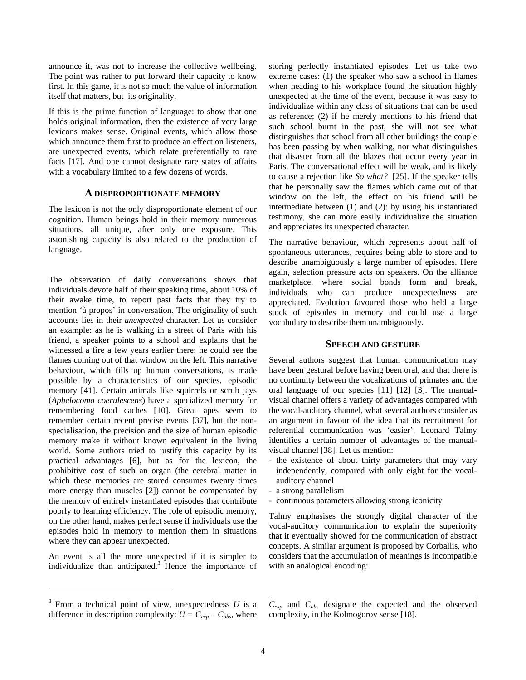announce it, was not to increase the collective wellbeing. The point was rather to put forward their capacity to know first. In this game, it is not so much the value of information itself that matters, but its originality.

If this is the prime function of language: to show that one holds original information, then the existence of very large lexicons makes sense. Original events, which allow those which announce them first to produce an effect on listeners, are unexpected events, which relate preferentially to rare facts [17]. And one cannot designate rare states of affairs with a vocabulary limited to a few dozens of words.

## **A DISPROPORTIONATE MEMORY**

The lexicon is not the only disproportionate element of our cognition. Human beings hold in their memory numerous situations, all unique, after only one exposure. This astonishing capacity is also related to the production of language.

The observation of daily conversations shows that individuals devote half of their speaking time, about 10% of their awake time, to report past facts that they try to mention 'à propos' in conversation. The originality of such accounts lies in their *unexpected* character. Let us consider an example: as he is walking in a street of Paris with his friend, a speaker points to a school and explains that he witnessed a fire a few years earlier there: he could see the flames coming out of that window on the left. This narrative behaviour, which fills up human conversations, is made possible by a characteristics of our species, episodic memory [41]. Certain animals like squirrels or scrub jays (*Aphelocoma coerulescens*) have a specialized memory for remembering food caches [10]. Great apes seem to remember certain recent precise events [37], but the nonspecialisation, the precision and the size of human episodic memory make it without known equivalent in the living world. Some authors tried to justify this capacity by its practical advantages [6], but as for the lexicon, the prohibitive cost of such an organ (the cerebral matter in which these memories are stored consumes twenty times more energy than muscles [2]) cannot be compensated by the memory of entirely instantiated episodes that contribute poorly to learning efficiency. The role of episodic memory, on the other hand, makes perfect sense if individuals use the episodes hold in memory to mention them in situations where they can appear unexpected.

An event is all the more unexpected if it is simpler to individualize than anticipated.<sup>3</sup> Hence the importance of

 $\overline{a}$ 

storing perfectly instantiated episodes. Let us take two extreme cases: (1) the speaker who saw a school in flames when heading to his workplace found the situation highly unexpected at the time of the event, because it was easy to individualize within any class of situations that can be used as reference; (2) if he merely mentions to his friend that such school burnt in the past, she will not see what distinguishes that school from all other buildings the couple has been passing by when walking, nor what distinguishes that disaster from all the blazes that occur every year in Paris. The conversational effect will be weak, and is likely to cause a rejection like *So what?* [25]. If the speaker tells that he personally saw the flames which came out of that window on the left, the effect on his friend will be intermediate between (1) and (2): by using his instantiated testimony, she can more easily individualize the situation and appreciates its unexpected character.

The narrative behaviour, which represents about half of spontaneous utterances, requires being able to store and to describe unambiguously a large number of episodes. Here again, selection pressure acts on speakers. On the alliance marketplace, where social bonds form and break, individuals who can produce unexpectedness are appreciated. Evolution favoured those who held a large stock of episodes in memory and could use a large vocabulary to describe them unambiguously.

### **SPEECH AND GESTURE**

Several authors suggest that human communication may have been gestural before having been oral, and that there is no continuity between the vocalizations of primates and the oral language of our species [11] [12] [3]. The manualvisual channel offers a variety of advantages compared with the vocal-auditory channel, what several authors consider as an argument in favour of the idea that its recruitment for referential communication was 'easier'. Leonard Talmy identifies a certain number of advantages of the manualvisual channel [38]. Let us mention:

- the existence of about thirty parameters that may vary independently, compared with only eight for the vocalauditory channel
- a strong parallelism
- continuous parameters allowing strong iconicity

Talmy emphasises the strongly digital character of the vocal-auditory communication to explain the superiority that it eventually showed for the communication of abstract concepts. A similar argument is proposed by Corballis, who considers that the accumulation of meanings is incompatible with an analogical encoding:

*Cexp* and *Cobs* designate the expected and the observed complexity, in the Kolmogorov sense [18].

 $\overline{a}$ 

 $3$  From a technical point of view, unexpectedness  $U$  is a difference in description complexity:  $U = C_{exp} - C_{obs}$ , where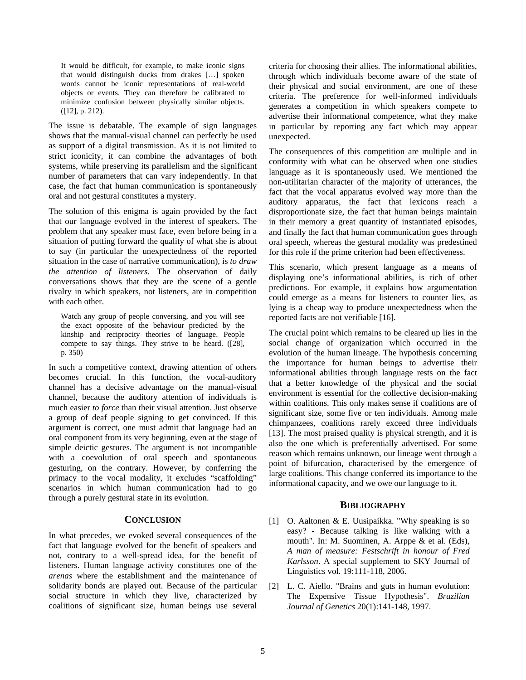It would be difficult, for example, to make iconic signs that would distinguish ducks from drakes […] spoken words cannot be iconic representations of real-world objects or events. They can therefore be calibrated to minimize confusion between physically similar objects. ([12], p. 212).

The issue is debatable. The example of sign languages shows that the manual-visual channel can perfectly be used as support of a digital transmission. As it is not limited to strict iconicity, it can combine the advantages of both systems, while preserving its parallelism and the significant number of parameters that can vary independently. In that case, the fact that human communication is spontaneously oral and not gestural constitutes a mystery.

The solution of this enigma is again provided by the fact that our language evolved in the interest of speakers. The problem that any speaker must face, even before being in a situation of putting forward the quality of what she is about to say (in particular the unexpectedness of the reported situation in the case of narrative communication), is *to draw the attention of listeners*. The observation of daily conversations shows that they are the scene of a gentle rivalry in which speakers, not listeners, are in competition with each other.

Watch any group of people conversing, and you will see the exact opposite of the behaviour predicted by the kinship and reciprocity theories of language. People compete to say things. They strive to be heard. ([28], p. 350)

In such a competitive context, drawing attention of others becomes crucial. In this function, the vocal-auditory channel has a decisive advantage on the manual-visual channel, because the auditory attention of individuals is much easier *to force* than their visual attention. Just observe a group of deaf people signing to get convinced. If this argument is correct, one must admit that language had an oral component from its very beginning, even at the stage of simple deictic gestures. The argument is not incompatible with a coevolution of oral speech and spontaneous gesturing, on the contrary. However, by conferring the primacy to the vocal modality, it excludes "scaffolding" scenarios in which human communication had to go through a purely gestural state in its evolution.

#### **CONCLUSION**

In what precedes, we evoked several consequences of the fact that language evolved for the benefit of speakers and not, contrary to a well-spread idea, for the benefit of listeners. Human language activity constitutes one of the *arenas* where the establishment and the maintenance of solidarity bonds are played out. Because of the particular social structure in which they live, characterized by coalitions of significant size, human beings use several criteria for choosing their allies. The informational abilities, through which individuals become aware of the state of their physical and social environment, are one of these criteria. The preference for well-informed individuals generates a competition in which speakers compete to advertise their informational competence, what they make in particular by reporting any fact which may appear unexpected.

The consequences of this competition are multiple and in conformity with what can be observed when one studies language as it is spontaneously used. We mentioned the non-utilitarian character of the majority of utterances, the fact that the vocal apparatus evolved way more than the auditory apparatus, the fact that lexicons reach a disproportionate size, the fact that human beings maintain in their memory a great quantity of instantiated episodes, and finally the fact that human communication goes through oral speech, whereas the gestural modality was predestined for this role if the prime criterion had been effectiveness.

This scenario, which present language as a means of displaying one's informational abilities, is rich of other predictions. For example, it explains how argumentation could emerge as a means for listeners to counter lies, as lying is a cheap way to produce unexpectedness when the reported facts are not verifiable [16].

The crucial point which remains to be cleared up lies in the social change of organization which occurred in the evolution of the human lineage. The hypothesis concerning the importance for human beings to advertise their informational abilities through language rests on the fact that a better knowledge of the physical and the social environment is essential for the collective decision-making within coalitions. This only makes sense if coalitions are of significant size, some five or ten individuals. Among male chimpanzees, coalitions rarely exceed three individuals [13]. The most praised quality is physical strength, and it is also the one which is preferentially advertised. For some reason which remains unknown, our lineage went through a point of bifurcation, characterised by the emergence of large coalitions. This change conferred its importance to the informational capacity, and we owe our language to it.

### **BIBLIOGRAPHY**

- [1] O. Aaltonen & E. Uusipaikka. "Why speaking is so easy? - Because talking is like walking with a mouth". In: M. Suominen, A. Arppe & et al. (Eds), *A man of measure: Festschrift in honour of Fred Karlsson*. A special supplement to SKY Journal of Linguistics vol. 19:111-118, 2006.
- [2] L. C. Aiello. "Brains and guts in human evolution: The Expensive Tissue Hypothesis". *Brazilian Journal of Genetics* 20(1):141-148, 1997.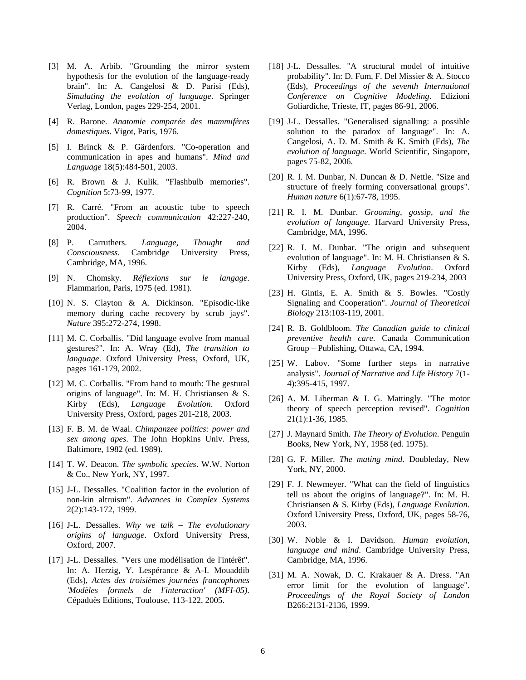- [3] M. A. Arbib. "Grounding the mirror system hypothesis for the evolution of the language-ready brain". In: A. Cangelosi & D. Parisi (Eds), *Simulating the evolution of language*. Springer Verlag, London, pages 229-254, 2001.
- [4] R. Barone. *Anatomie comparée des mammifères domestiques*. Vigot, Paris, 1976.
- [5] I. Brinck & P. Gärdenfors. "Co-operation and communication in apes and humans". *Mind and Language* 18(5):484-501, 2003.
- [6] R. Brown & J. Kulik. "Flashbulb memories". *Cognition* 5:73-99, 1977.
- [7] R. Carré. "From an acoustic tube to speech production". *Speech communication* 42:227-240, 2004.
- [8] P. Carruthers. *Language, Thought and Consciousness*. Cambridge University Press, Cambridge, MA, 1996.
- [9] N. Chomsky. *Réflexions sur le langage*. Flammarion, Paris, 1975 (ed. 1981).
- [10] N. S. Clayton & A. Dickinson. "Episodic-like memory during cache recovery by scrub jays". *Nature* 395:272-274, 1998.
- [11] M. C. Corballis. "Did language evolve from manual gestures?". In: A. Wray (Ed), *The transition to language*. Oxford University Press, Oxford, UK, pages 161-179, 2002.
- [12] M. C. Corballis. "From hand to mouth: The gestural origins of language". In: M. H. Christiansen & S. Kirby (Eds), *Language Evolution*. Oxford University Press, Oxford, pages 201-218, 2003.
- [13] F. B. M. de Waal. *Chimpanzee politics: power and sex among apes*. The John Hopkins Univ. Press, Baltimore, 1982 (ed. 1989).
- [14] T. W. Deacon. *The symbolic species*. W.W. Norton & Co., New York, NY, 1997.
- [15] J-L. Dessalles. "Coalition factor in the evolution of non-kin altruism". *Advances in Complex Systems* 2(2):143-172, 1999.
- [16] J-L. Dessalles. *Why we talk The evolutionary origins of language*. Oxford University Press, Oxford, 2007.
- [17] J-L. Dessalles. "Vers une modélisation de l'intérêt". In: A. Herzig, Y. Lespérance & A-I. Mouaddib (Eds), *Actes des troisièmes journées francophones 'Modèles formels de l'interaction' (MFI-05)*. Cépaduès Editions, Toulouse, 113-122, 2005.
- [18] J-L. Dessalles. "A structural model of intuitive probability". In: D. Fum, F. Del Missier & A. Stocco (Eds), *Proceedings of the seventh International Conference on Cognitive Modeling*. Edizioni Goliardiche, Trieste, IT, pages 86-91, 2006.
- [19] J-L. Dessalles. "Generalised signalling: a possible solution to the paradox of language". In: A. Cangelosi, A. D. M. Smith & K. Smith (Eds), *The evolution of language*. World Scientific, Singapore, pages 75-82, 2006.
- [20] R. I. M. Dunbar, N. Duncan & D. Nettle. "Size and structure of freely forming conversational groups". *Human nature* 6(1):67-78, 1995.
- [21] R. I. M. Dunbar. *Grooming, gossip, and the evolution of language*. Harvard University Press, Cambridge, MA, 1996.
- [22] R. I. M. Dunbar. "The origin and subsequent evolution of language". In: M. H. Christiansen & S. Kirby (Eds), *Language Evolution*. Oxford University Press, Oxford, UK, pages 219-234, 2003
- [23] H. Gintis, E. A. Smith & S. Bowles. "Costly Signaling and Cooperation". *Journal of Theoretical Biology* 213:103-119, 2001.
- [24] R. B. Goldbloom. *The Canadian guide to clinical preventive health care*. Canada Communication Group – Publishing, Ottawa, CA, 1994.
- [25] W. Labov. "Some further steps in narrative analysis". *Journal of Narrative and Life History* 7(1- 4):395-415, 1997.
- [26] A. M. Liberman & I. G. Mattingly. "The motor theory of speech perception revised". *Cognition* 21(1):1-36, 1985.
- [27] J. Maynard Smith. *The Theory of Evolution*. Penguin Books, New York, NY, 1958 (ed. 1975).
- [28] G. F. Miller. *The mating mind*. Doubleday, New York, NY, 2000.
- [29] F. J. Newmeyer. "What can the field of linguistics tell us about the origins of language?". In: M. H. Christiansen & S. Kirby (Eds), *Language Evolution*. Oxford University Press, Oxford, UK, pages 58-76, 2003.
- [30] W. Noble & I. Davidson. *Human evolution, language and mind*. Cambridge University Press, Cambridge, MA, 1996.
- [31] M. A. Nowak, D. C. Krakauer & A. Dress. "An error limit for the evolution of language". *Proceedings of the Royal Society of London* B266:2131-2136, 1999.